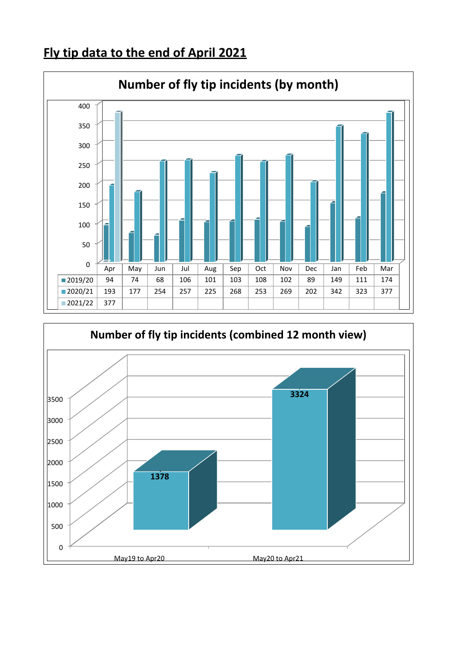## **Fly tip data to the end of April 2021**



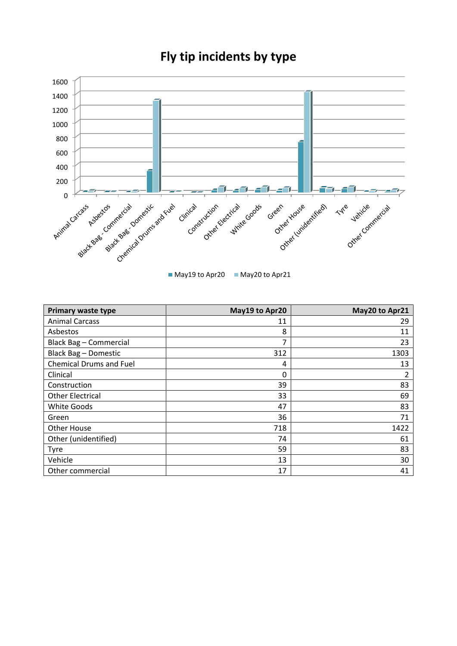

## **Fly tip incidents by type**

May19 to Apr20 May20 to Apr21

| <b>Primary waste type</b>      | May19 to Apr20 | May20 to Apr21 |
|--------------------------------|----------------|----------------|
| <b>Animal Carcass</b>          | 11             | 29             |
| Asbestos                       | 8              | 11             |
| Black Bag - Commercial         | 7              | 23             |
| Black Bag - Domestic           | 312            | 1303           |
| <b>Chemical Drums and Fuel</b> | 4              | 13             |
| Clinical                       | 0              | 2              |
| Construction                   | 39             | 83             |
| <b>Other Electrical</b>        | 33             | 69             |
| <b>White Goods</b>             | 47             | 83             |
| Green                          | 36             | 71             |
| <b>Other House</b>             | 718            | 1422           |
| Other (unidentified)           | 74             | 61             |
| <b>Tyre</b>                    | 59             | 83             |
| Vehicle                        | 13             | 30             |
| Other commercial               | 17             | 41             |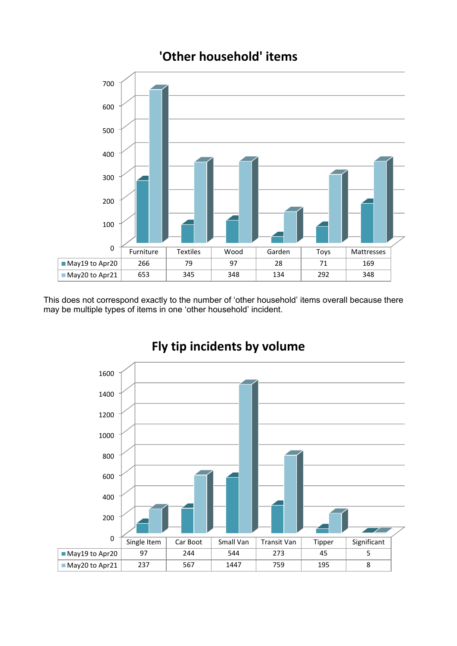

**'Other household' items**

This does not correspond exactly to the number of 'other household' items overall because there may be multiple types of items in one 'other household' incident.



## **Fly tip incidents by volume**